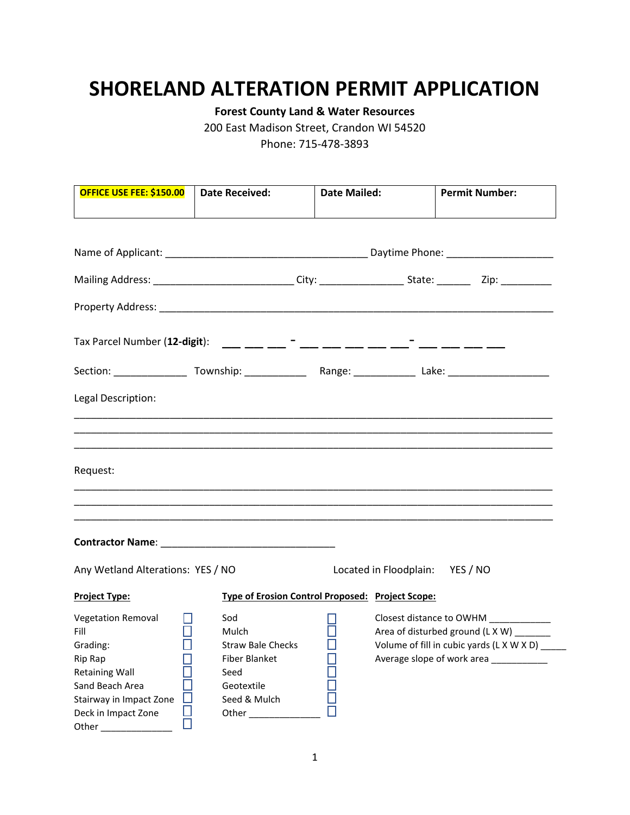## **SHORELAND ALTERATION PERMIT APPLICATION**

**Forest County Land & Water Resources**

200 East Madison Street, Crandon WI 54520

Phone: 715-478-3893

| <b>OFFICE USE FEE: \$150.00  </b>                                                                                                                                                     | <b>Date Received:</b>                                                                                  | <b>Date Mailed:</b>                              |                                 | <b>Permit Number:</b>                                                                                                                                   |
|---------------------------------------------------------------------------------------------------------------------------------------------------------------------------------------|--------------------------------------------------------------------------------------------------------|--------------------------------------------------|---------------------------------|---------------------------------------------------------------------------------------------------------------------------------------------------------|
|                                                                                                                                                                                       |                                                                                                        |                                                  |                                 |                                                                                                                                                         |
|                                                                                                                                                                                       |                                                                                                        |                                                  |                                 |                                                                                                                                                         |
|                                                                                                                                                                                       |                                                                                                        |                                                  |                                 |                                                                                                                                                         |
| Tax Parcel Number (12-digit): ___ __ __ __ <sup>-</sup> ___ ___ __ __ __ __ <sup>-</sup> ___ __ __ __                                                                                 |                                                                                                        |                                                  |                                 |                                                                                                                                                         |
|                                                                                                                                                                                       |                                                                                                        |                                                  |                                 |                                                                                                                                                         |
| Legal Description:                                                                                                                                                                    |                                                                                                        |                                                  |                                 |                                                                                                                                                         |
|                                                                                                                                                                                       |                                                                                                        |                                                  |                                 |                                                                                                                                                         |
| Request:                                                                                                                                                                              |                                                                                                        |                                                  |                                 |                                                                                                                                                         |
| ,我们也不能在这里的时候,我们也不能在这里的时候,我们也不能不能不能不能不能不能不能不能不能不能不能不能不能。""我们的人,我们也不能不能不能不能不能不能不能不                                                                                                      |                                                                                                        |                                                  |                                 |                                                                                                                                                         |
|                                                                                                                                                                                       |                                                                                                        |                                                  |                                 |                                                                                                                                                         |
| Any Wetland Alterations: YES / NO                                                                                                                                                     |                                                                                                        |                                                  | Located in Floodplain: YES / NO |                                                                                                                                                         |
| <b>Project Type:</b>                                                                                                                                                                  |                                                                                                        | Type of Erosion Control Proposed: Project Scope: |                                 |                                                                                                                                                         |
| <b>Vegetation Removal</b><br>$\Box$<br>Fill<br>Grading: $\qquad \qquad \Box$<br>Rip Rap<br><b>Retaining Wall</b><br>Sand Beach Area<br>Stairway in Impact Zone<br>Deck in Impact Zone | Sod<br>Mulch<br><b>Straw Bale Checks</b><br><b>Fiber Blanket</b><br>Seed<br>Geotextile<br>Seed & Mulch |                                                  |                                 | Closest distance to OWHM ___________<br>Area of disturbed ground (L X W)<br>Volume of fill in cubic yards (L X W X D) ___<br>Average slope of work area |